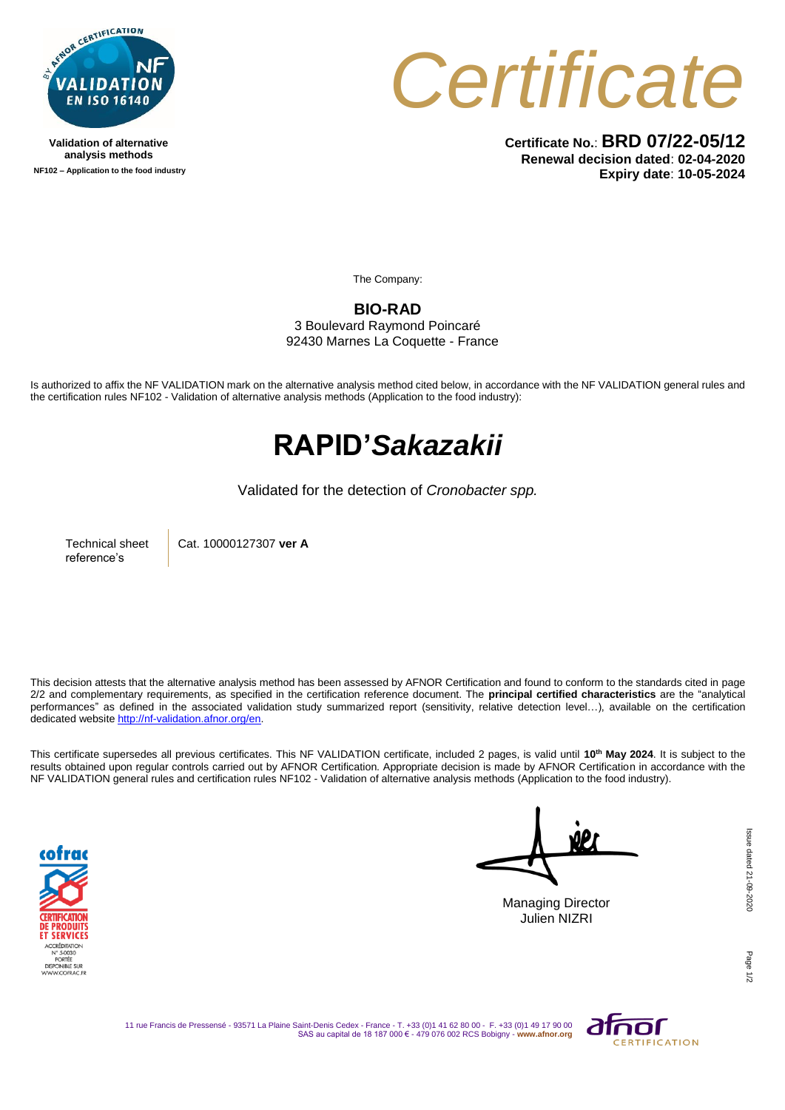

**Validation of alternative analysis methods NF102 – Application to the food industry** *Certificate*

**Certificate No.**: **BRD 07/22-05/12 Renewal decision dated**: **02-04-2020 Expiry date**: **10-05-2024**

The Company:

**BIO-RAD** 3 Boulevard Raymond Poincaré

92430 Marnes La Coquette - France

Is authorized to affix the NF VALIDATION mark on the alternative analysis method cited below, in accordance with the NF VALIDATION general rules and the certification rules NF102 - Validation of alternative analysis methods (Application to the food industry):

## **RAPID'***Sakazakii*

Validated for the detection of *Cronobacter spp.*

Technical sheet reference's

Cat. 10000127307 **ver A**

This decision attests that the alternative analysis method has been assessed by AFNOR Certification and found to conform to the standards cited in page 2/2 and complementary requirements, as specified in the certification reference document. The **principal certified characteristics** are the "analytical performances" as defined in the associated validation study summarized report (sensitivity, relative detection level…), available on the certification dedicated websit[e http://nf-validation.afnor.org/en.](http://nf-validation.afnor.org/en)

This certificate supersedes all previous certificates. This NF VALIDATION certificate, included 2 pages, is valid until **10th May 2024**. It is subject to the results obtained upon regular controls carried out by AFNOR Certification. Appropriate decision is made by AFNOR Certification in accordance with the NF VALIDATION general rules and certification rules NF102 - Validation of alternative analysis methods (Application to the food industry).



Managing Director Julien NIZRI

Page